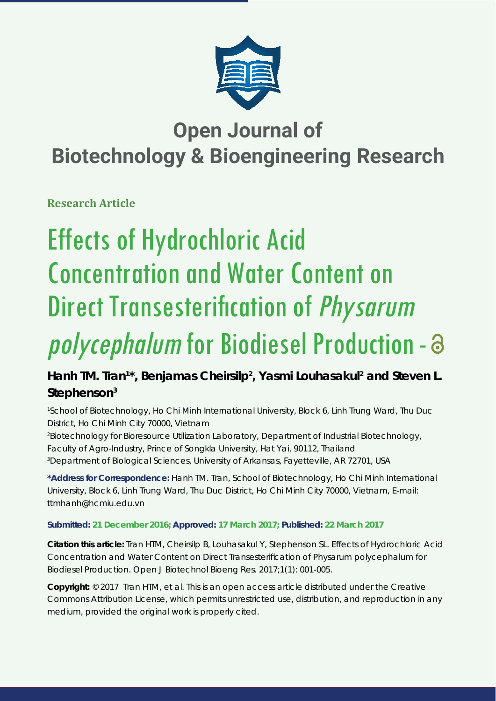

## **Open Journal of Biotechnology & Bioengineering Research**

**Research Article**

# Effects of Hydrochloric Acid Concentration and Water Content on Direct Transesterification of *Physarum* polycephalum for Biodiesel Production - a

### Hanh TM. Tran<sup>1\*</sup>, Benjamas Cheirsilp<sup>2</sup>, Yasmi Louhasakul<sup>2</sup> and Steven L. **Stephenson3**

*1 School of Biotechnology, Ho Chi Minh International University, Block 6, Linh Trung Ward, Thu Duc District, Ho Chi Minh City 70000, Vietnam*

*2 Biotechnology for Bioresource Utilization Laboratory, Department of Industrial Biotechnology, Faculty of Agro-Industry, Prince of Songkla University, Hat Yai, 90112, Thailand 3 Department of Biological Sciences, University of Arkansas, Fayetteville, AR 72701, USA*

**\*Address for Correspondence:** Hanh TM. Tran, School of Biotechnology, Ho Chi Minh International University, Block 6, Linh Trung Ward, Thu Duc District, Ho Chi Minh City 70000, Vietnam, E-mail: ttmhanh@hcmiu.edu.vn

#### **Submitted: 21 December 2016; Approved: 17 March 2017; Published: 22 March 2017**

**Citation this article:** Tran HTM, Cheirsilp B, Louhasakul Y, Stephenson SL. Effects of Hydrochloric Acid Concentration and Water Content on Direct Transesterification of *Physarum polycephalum* for Biodiesel Production. Open J Biotechnol Bioeng Res. 2017;1(1): 001-005.

**Copyright:** © 2017 Tran HTM, et al. This is an open access article distributed under the Creative Commons Attribution License, which permits unrestricted use, distribution, and reproduction in any medium, provided the original work is properly cited.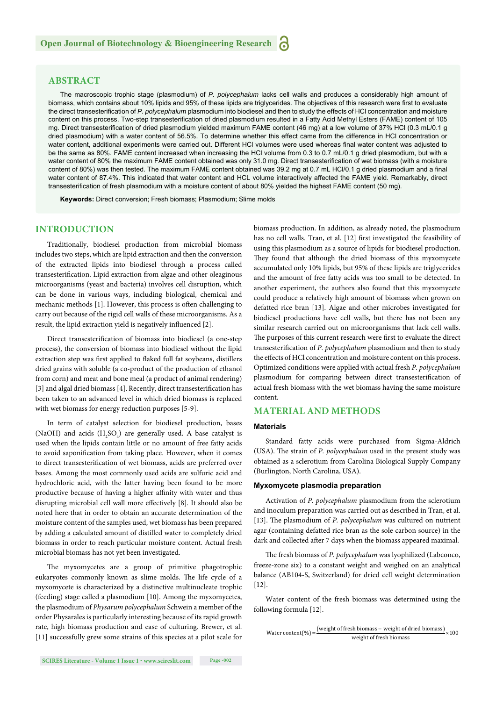#### **ABSTRACT**

The macroscopic trophic stage (plasmodium) of *P. polycephalum* lacks cell walls and produces a considerably high amount of biomass, which contains about 10% lipids and 95% of these lipids are triglycerides. The objectives of this research were first to evaluate the direct transesterification of P. polycephalum plasmodium into biodiesel and then to study the effects of HCl concentration and moisture content on this process. Two-step transesterification of dried plasmodium resulted in a Fatty Acid Methyl Esters (FAME) content of 105 mg. Direct transesterification of dried plasmodium yielded maximum FAME content (46 mg) at a low volume of 37% HCl (0.3 mL/0.1 g dried plasmodium) with a water content of 56.5%. To determine whether this effect came from the difference in HCl concentration or water content, additional experiments were carried out. Different HCl volumes were used whereas final water content was adjusted to be the same as 80%. FAME content increased when increasing the HCl volume from 0.3 to 0.7 mL/0.1 g dried plasmodium, but with a water content of 80% the maximum FAME content obtained was only 31.0 mg. Direct transesterification of wet biomass (with a moisture content of 80%) was then tested. The maximum FAME content obtained was 39.2 mg at 0.7 mL HCl/0.1 g dried plasmodium and a final water content of 87.4%. This indicated that water content and HCL volume interactively affected the FAME yield. Remarkably, direct transesterification of fresh plasmodium with a moisture content of about 80% yielded the highest FAME content (50 mg).

**Keywords:** Direct conversion; Fresh biomass; Plasmodium; Slime molds

#### **INTRODUCTION**

Traditionally, biodiesel production from microbial biomass includes two steps, which are lipid extraction and then the conversion of the extracted lipids into biodiesel through a process called transesterification. Lipid extraction from algae and other oleaginous microorganisms (yeast and bacteria) involves cell disruption, which can be done in various ways, including biological, chemical and mechanic methods [1]. However, this process is often challenging to carry out because of the rigid cell walls of these microorganisms. As a result, the lipid extraction yield is negatively influenced [2].

Direct transesterification of biomass into biodiesel (a one-step process), the conversion of biomass into biodiesel without the lipid extraction step was first applied to flaked full fat soybeans, distillers dried grains with soluble (a co-product of the production of ethanol from corn) and meat and bone meal (a product of animal rendering) [3] and algal dried biomass [4]. Recently, direct transesterification has been taken to an advanced level in which dried biomass is replaced with wet biomass for energy reduction purposes [5-9].

In term of catalyst selection for biodiesel production, bases (NaOH) and acids  $(H_2SO_4)$  are generally used. A base catalyst is used when the lipids contain little or no amount of free fatty acids to avoid saponification from taking place. However, when it comes to direct transesterification of wet biomass, acids are preferred over bases. Among the most commonly used acids are sulfuric acid and hydrochloric acid, with the latter having been found to be more productive because of having a higher affinity with water and thus disrupting microbial cell wall more effectively [8]. It should also be noted here that in order to obtain an accurate determination of the moisture content of the samples used, wet biomass has been prepared by adding a calculated amount of distilled water to completely dried biomass in order to reach particular moisture content. Actual fresh microbial biomass has not yet been investigated.

The myxomycetes are a group of primitive phagotrophic eukaryotes commonly known as slime molds. The life cycle of a myxomycete is characterized by a distinctive multinucleate trophic (feeding) stage called a plasmodium [10]. Among the myxomycetes, the plasmodium of *Physarum polycephalum* Schwein a member of the order Physarales is particularly interesting because of its rapid growth rate, high biomass production and ease of culturing. Brewer, et al. [11] successfully grew some strains of this species at a pilot scale for biomass production. In addition, as already noted, the plasmodium has no cell walls. Tran, et al. [12] first investigated the feasibility of using this plasmodium as a source of lipids for biodiesel production. They found that although the dried biomass of this myxomycete accumulated only 10% lipids, but 95% of these lipids are triglycerides and the amount of free fatty acids was too small to be detected. In another experiment, the authors also found that this myxomycete could produce a relatively high amount of biomass when grown on defatted rice bran [13]. Algae and other microbes investigated for biodiesel productions have cell walls, but there has not been any similar research carried out on microorganisms that lack cell walls. The purposes of this current research were first to evaluate the direct transesterification of *P. polycephalum* plasmodium and then to study the effects of HCl concentration and moisture content on this process. Optimized conditions were applied with actual fresh *P. polycephalum* plasmodium for comparing between direct transesterification of actual fresh biomass with the wet biomass having the same moisture content.

#### **MATERIAL AND METHODS**

#### **Materials**

Standard fatty acids were purchased from Sigma-Aldrich (USA). The strain of *P. polycephalum* used in the present study was obtained as a sclerotium from Carolina Biological Supply Company (Burlington, North Carolina, USA).

#### **Myxomycete plasmodia preparation**

Activation of *P. polycephalum* plasmodium from the sclerotium and inoculum preparation was carried out as described in Tran, et al. [13]. The plasmodium of *P. polycephalum* was cultured on nutrient agar (containing defatted rice bran as the sole carbon source) in the dark and collected after 7 days when the biomass appeared maximal.

The fresh biomass of *P. polycephalum* was lyophilized (Labconco, freeze-zone six) to a constant weight and weighed on an analytical balance (AB104-S, Switzerland) for dried cell weight determination [12].

Water content of the fresh biomass was determined using the following formula [12].

Water content (%) = 
$$
\frac{\text{(weight of fresh biomass - weight of dried biomass)}}{\text{weight of fresh biomass}} \times 100
$$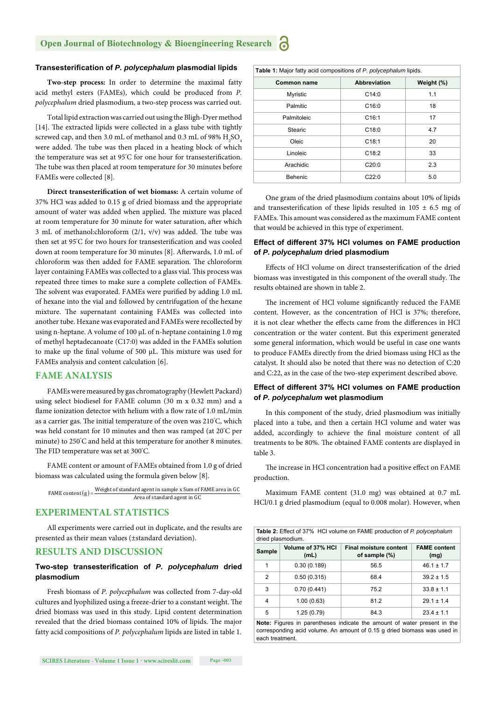#### **Transesterifi cation of** *P. polycephalum* **plasmodial lipids**

**Two-step process:** In order to determine the maximal fatty acid methyl esters (FAMEs), which could be produced from *P. polycephalum* dried plasmodium, a two-step process was carried out.

Total lipid extraction was carried out using the Bligh-Dyer method  $[14]$ . The extracted lipids were collected in a glass tube with tightly screwed cap, and then 3.0 mL of methanol and 0.3 mL of 98%  $\rm H_2SO_4$ were added. The tube was then placed in a heating block of which the temperature was set at 95°C for one hour for transesterification. The tube was then placed at room temperature for 30 minutes before FAMEs were collected [8].

**Direct transesterification of wet biomass:** A certain volume of 37% HCl was added to 0.15 g of dried biomass and the appropriate amount of water was added when applied. The mixture was placed at room temperature for 30 minute for water saturation, after which 3 mL of methanol:chloroform  $(2/1, v/v)$  was added. The tube was then set at 95°C for two hours for transesterification and was cooled down at room temperature for 30 minutes [8]. Afterwards, 1.0 mL of chloroform was then added for FAME separation. The chloroform layer containing FAMEs was collected to a glass vial. This process was repeated three times to make sure a complete collection of FAMEs. The solvent was evaporated. FAMEs were purified by adding 1.0 mL of hexane into the vial and followed by centrifugation of the hexane mixture. The supernatant containing FAMEs was collected into another tube. Hexane was evaporated and FAMEs were recollected by using n-heptane. A volume of 100 μL of n-heptane containing 1.0 mg of methyl heptadecanoate (C17:0) was added in the FAMEs solution to make up the final volume of 500  $\mu$ L. This mixture was used for FAMEs analysis and content calculation [6].

#### **FAME ANALYSIS**

FAMEs were measured by gas chromatography (Hewlett Packard) using select biodiesel for FAME column (30 m x 0.32 mm) and a flame ionization detector with helium with a flow rate of 1.0 mL/min as a carrier gas. The initial temperature of the oven was 210°C, which was held constant for 10 minutes and then was ramped (at 20° C per minute) to 250° C and held at this temperature for another 8 minutes. The FID temperature was set at 300°C.

FAME content or amount of FAMEs obtained from 1.0 g of dried biomass was calculated using the formula given below [8].

FAME content  $(g)$  = Weight of standard agent in sample x Sum of FAME area in GC<br>Area of standard agent in GC

#### **EXPERIMENTAL STATISTICS**

All experiments were carried out in duplicate, and the results are presented as their mean values (±standard deviation).

#### **RESULTS AND DISCUSSION**

#### Two-step transesterification of *P. polycephalum* dried **plasmodium**

Fresh biomass of *P. polycephalum* was collected from 7-day-old cultures and lyophilized using a freeze-drier to a constant weight. The dried biomass was used in this study. Lipid content determination revealed that the dried biomass contained 10% of lipids. The major fatty acid compositions of *P. polycephalum* lipids are listed in table 1.

| Table 1: Major fatty acid compositions of P. polycephalum lipids. |                     |            |  |
|-------------------------------------------------------------------|---------------------|------------|--|
| Common name                                                       | <b>Abbreviation</b> | Weight (%) |  |
| <b>Myristic</b>                                                   | C14:0               | 1.1        |  |
| Palmitic                                                          | C16:0               | 18         |  |
| Palmitoleic                                                       | C16:1               | 17         |  |
| Stearic                                                           | C18:0               | 4.7        |  |
| Oleic                                                             | C18:1               | 20         |  |
| Linoleic                                                          | C18:2               | 33         |  |
| Arachidic                                                         | C20:0               | 2.3        |  |
| Behenic                                                           | C22:0               | 5.0        |  |

One gram of the dried plasmodium contains about 10% of lipids and transesterification of these lipids resulted in  $105 \pm 6.5$  mg of FAMEs. This amount was considered as the maximum FAME content that would be achieved in this type of experiment.

#### **Effect of different 37% HCl volumes on FAME production of** *P. polycephalum* **dried plasmodium**

Effects of HCl volume on direct transesterification of the dried biomass was investigated in this component of the overall study. The results obtained are shown in table 2.

The increment of HCl volume significantly reduced the FAME content. However, as the concentration of HCl is 37%; therefore, it is not clear whether the effects came from the differences in HCl concentration or the water content. But this experiment generated some general information, which would be useful in case one wants to produce FAMEs directly from the dried biomass using HCl as the catalyst. It should also be noted that there was no detection of C:20 and C:22, as in the case of the two-step experiment described above.

#### **Effect of different 37% HCl volumes on FAME production of** *P. polycephalum* **wet plasmodium**

In this component of the study, dried plasmodium was initially placed into a tube, and then a certain HCl volume and water was added, accordingly to achieve the final moisture content of all treatments to be 80%. The obtained FAME contents are displayed in table 3.

The increase in HCl concentration had a positive effect on FAME production.

Maximum FAME content (31.0 mg) was obtained at 0.7 mL HCl/0.1 g dried plasmodium (equal to 0.008 molar). However, when

|                   | <b>Table 2:</b> Effect of 37% HCI volume on FAME production of P. polycephalum |
|-------------------|--------------------------------------------------------------------------------|
| dried plasmodium. |                                                                                |

| <b>Sample</b> | Volume of 37% HCI<br>(mL) | <b>Final moisture content</b><br>of sample (%) | <b>FAME</b> content<br>(mg) |
|---------------|---------------------------|------------------------------------------------|-----------------------------|
| 1             | 0.30(0.189)               | 56.5                                           | $46.1 \pm 1.7$              |
| 2             | 0.50(0.315)               | 68.4                                           | $39.2 \pm 1.5$              |
| 3             | 0.70(0.441)               | 75.2                                           | $33.8 \pm 1.1$              |
| 4             | 1.00(0.63)                | 81.2                                           | $29.1 \pm 1.4$              |
| 5             | 1.25(0.79)                | 84.3                                           | $23.4 \pm 1.1$              |

**Note:** Figures in parentheses indicate the amount of water present in the corresponding acid volume. An amount of 0.15 g dried biomass was used in each treatment.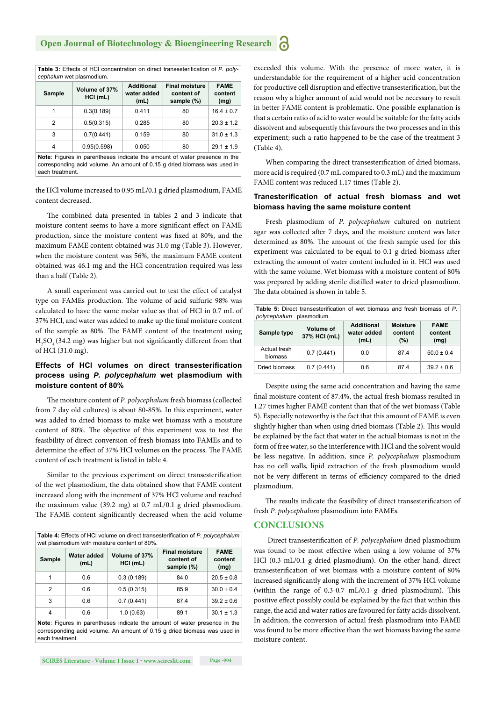Table 3: Effects of HCl concentration on direct transesterification of *P. polycephalum* wet plasmodium.

| <b>Sample</b> | Volume of 37%<br>$HCI$ (mL) | <b>Additional</b><br>water added<br>(mL) | <b>Final moisture</b><br>content of<br>sample (%) | <b>FAME</b><br>content<br>(mg) |
|---------------|-----------------------------|------------------------------------------|---------------------------------------------------|--------------------------------|
| 1             | 0.3(0.189)                  | 0.411                                    | 80                                                | $16.4 \pm 0.7$                 |
| 2             | 0.5(0.315)                  | 0.285                                    | 80                                                | $20.3 \pm 1.2$                 |
| 3             | 0.7(0.441)                  | 0.159                                    | 80                                                | $31.0 \pm 1.3$                 |
| 4             | 0.95(0.598)                 | 0.050                                    | 80                                                | $29.1 \pm 1.9$                 |
|               |                             |                                          |                                                   |                                |

**Note**: Figures in parentheses indicate the amount of water presence in the corresponding acid volume. An amount of 0.15 g dried biomass was used in each treatment.

the HCl volume increased to 0.95 mL/0.1 g dried plasmodium, FAME content decreased.

The combined data presented in tables 2 and 3 indicate that moisture content seems to have a more significant effect on FAME production, since the moisture content was fixed at 80%, and the maximum FAME content obtained was 31.0 mg (Table 3). However, when the moisture content was 56%, the maximum FAME content obtained was 46.1 mg and the HCl concentration required was less than a half (Table 2).

A small experiment was carried out to test the effect of catalyst type on FAMEs production. The volume of acid sulfuric 98% was calculated to have the same molar value as that of HCl in 0.7 mL of 37% HCl, and water was added to make up the final moisture content of the sample as 80%. The FAME content of the treatment using  $\rm{H_2SO_4(34.2~mg)}$  was higher but not significantly different from that of HCl (31.0 mg).

#### **Effects of HCI volumes on direct transesterification process using** *P. polycephalum* **wet plasmodium with moisture content of 80%**

The moisture content of *P. polycephalum* fresh biomass (collected from 7 day old cultures) is about 80-85%. In this experiment, water was added to dried biomass to make wet biomass with a moisture content of 80%. The objective of this experiment was to test the feasibility of direct conversion of fresh biomass into FAMEs and to determine the effect of 37% HCl volumes on the process. The FAME content of each treatment is listed in table 4.

Similar to the previous experiment on direct transesterification of the wet plasmodium, the data obtained show that FAME content increased along with the increment of 37% HCl volume and reached the maximum value (39.2 mg) at 0.7 mL/0.1 g dried plasmodium. The FAME content significantly decreased when the acid volume

| <b>Table 4:</b> Effects of HCI volume on direct transesterification of P. polycephalum<br>wet plasmodium with moisture content of 80%. |                     |                             |                                                   |                                |
|----------------------------------------------------------------------------------------------------------------------------------------|---------------------|-----------------------------|---------------------------------------------------|--------------------------------|
| <b>Sample</b>                                                                                                                          | Water added<br>(mL) | Volume of 37%<br>$HCI$ (mL) | <b>Final moisture</b><br>content of<br>sample (%) | <b>FAME</b><br>content<br>(mg) |
| 1                                                                                                                                      | 0.6                 | 0.3(0.189)                  | 84.0                                              | $20.5 \pm 0.8$                 |
| 2                                                                                                                                      | 0.6                 | 0.5(0.315)                  | 85.9                                              | $30.0 \pm 0.4$                 |
| 3                                                                                                                                      | 0.6                 | 0.7(0.441)                  | 87.4                                              | $39.2 \pm 0.6$                 |
| 4                                                                                                                                      | 0.6                 | 1.0(0.63)                   | 89.1                                              | $30.1 \pm 1.3$                 |

**Note**: Figures in parentheses indicate the amount of water presence in the corresponding acid volume. An amount of 0.15 g dried biomass was used in each treatment.

exceeded this volume. With the presence of more water, it is understandable for the requirement of a higher acid concentration for productive cell disruption and effective transesterification, but the reason why a higher amount of acid would not be necessary to result in better FAME content is problematic. One possible explanation is that a certain ratio of acid to water would be suitable for the fatty acids dissolvent and subsequently this favours the two processes and in this experiment; such a ratio happened to be the case of the treatment 3 (Table 4).

When comparing the direct transesterification of dried biomass, more acid is required (0.7 mL compared to 0.3 mL) and the maximum FAME content was reduced 1.17 times (Table 2).

#### **Tranesterification of actual fresh biomass and wet biomass having the same moisture content**

Fresh plasmodium of *P. polycephalum* cultured on nutrient agar was collected after 7 days, and the moisture content was later determined as 80%. The amount of the fresh sample used for this experiment was calculated to be equal to 0.1 g dried biomass after extracting the amount of water content included in it. HCl was used with the same volume. Wet biomass with a moisture content of 80% was prepared by adding sterile distilled water to dried plasmodium. The data obtained is shown in table 5.

| Table 5: Direct transesterification of wet biomass and fresh biomass of P.<br>polycephalum plasmodium. |                                  |                                          |                                      |                                |
|--------------------------------------------------------------------------------------------------------|----------------------------------|------------------------------------------|--------------------------------------|--------------------------------|
| Sample type                                                                                            | <b>Volume of</b><br>37% HCI (mL) | <b>Additional</b><br>water added<br>(mL) | <b>Moisture</b><br>content<br>$(\%)$ | <b>FAME</b><br>content<br>(mg) |
| Actual fresh<br>biomass                                                                                | 0.7(0.441)                       | 0.0                                      | 87.4                                 | $50.0 \pm 0.4$                 |
| Dried biomass                                                                                          | 0.7(0.441)                       | 0.6                                      | 87.4                                 | $39.2 \pm 0.6$                 |

Despite using the same acid concentration and having the same final moisture content of 87.4%, the actual fresh biomass resulted in 1.27 times higher FAME content than that of the wet biomass (Table 5). Especially noteworthy is the fact that this amount of FAME is even slightly higher than when using dried biomass (Table 2). This would be explained by the fact that water in the actual biomass is not in the form of free water, so the interference with HCl and the solvent would be less negative. In addition, since *P. polycephalum* plasmodium has no cell walls, lipid extraction of the fresh plasmodium would not be very different in terms of efficiency compared to the dried plasmodium.

The results indicate the feasibility of direct transesterification of fresh *P. polycephalum* plasmodium into FAMEs.

#### **CONCLUSIONS**

Direct transesterification of *P. polycephalum* dried plasmodium was found to be most effective when using a low volume of 37% HCl (0.3 mL/0.1 g dried plasmodium). On the other hand, direct transesterification of wet biomass with a moisture content of 80% increased significantly along with the increment of 37% HCl volume (within the range of  $0.3$ -0.7 mL/0.1 g dried plasmodium). This positive effect possibly could be explained by the fact that within this range, the acid and water ratios are favoured for fatty acids dissolvent. In addition, the conversion of actual fresh plasmodium into FAME was found to be more effective than the wet biomass having the same moisture content.